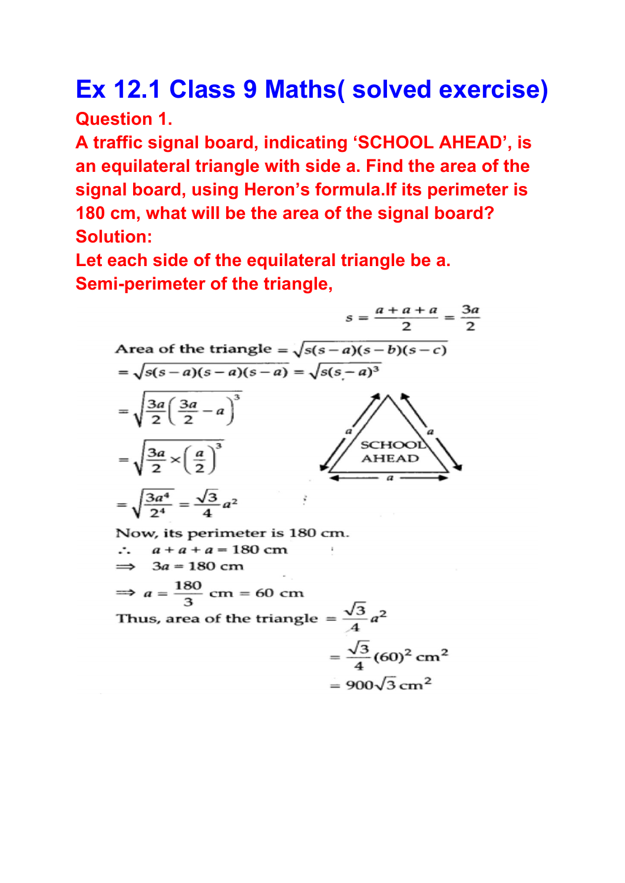## **Ex 12.1 Class 9 Maths( solved exercise) Question 1.**

**A traffic signal board, indicating 'SCHOOL AHEAD' , is an equilateral triangle with side a. Find the area of the signal board, using Heron's formula.If its perimeter is 180 cm, what will be the area of the signal board? Solution:**

**Let each side of the equilateral triangle be a. Semi-perimeter of the triangle,**



Thus, area of the triangle =  $\frac{\sqrt{3}}{4}a^2$  $=\frac{\sqrt{3}}{4}(60)^2$  cm<sup>2</sup>  $= 900\sqrt{3}$  cm<sup>2</sup>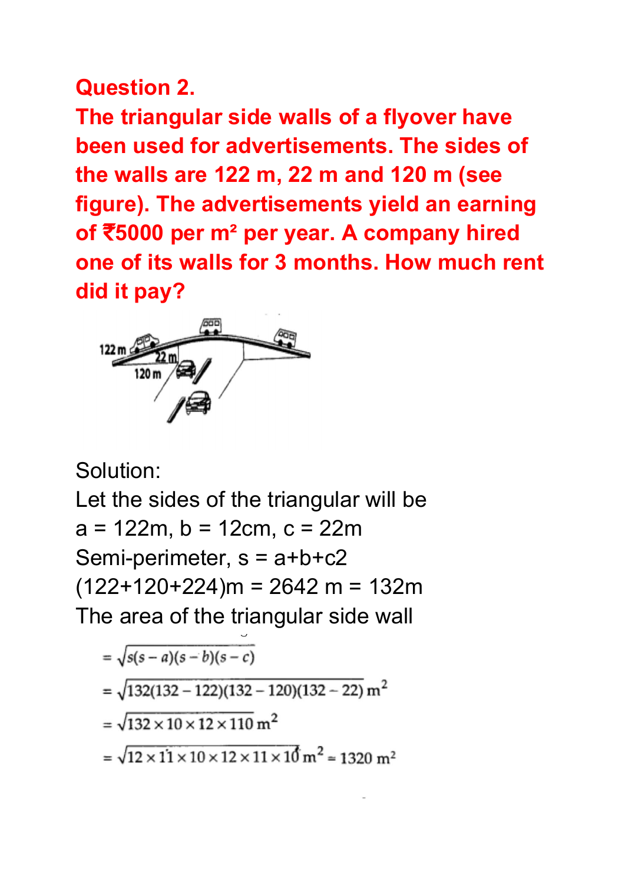## **Question 2.**

**The triangular side walls of a flyover have been used for advertisements. The sides of the walls are 122 m, 22 m and 120 m (see figure). The advertisements yield an earning of** ₹**5000 per m² per year. A company hired one of its walls for 3 months. How much rent did it pay?**



Solution:

Let the sides of the triangular will be  $a = 122m$ ,  $b = 12cm$ ,  $c = 22m$ Semi-perimeter,  $s = a+b+c2$  $(122+120+224)$ m = 2642 m = 132m The area of the triangular side wall

$$
= \sqrt{s(s-a)(s-b)(s-c)}
$$

$$
= \sqrt{132(132 - 122)(132 - 120)(132 - 22)} \, \text{m}^2
$$

$$
= \sqrt{132 \times 10 \times 12 \times 110} \text{ m}^2
$$

=  $\sqrt{12 \times 11 \times 10 \times 12 \times 11 \times 10}$  m<sup>2</sup> = 1320 m<sup>2</sup>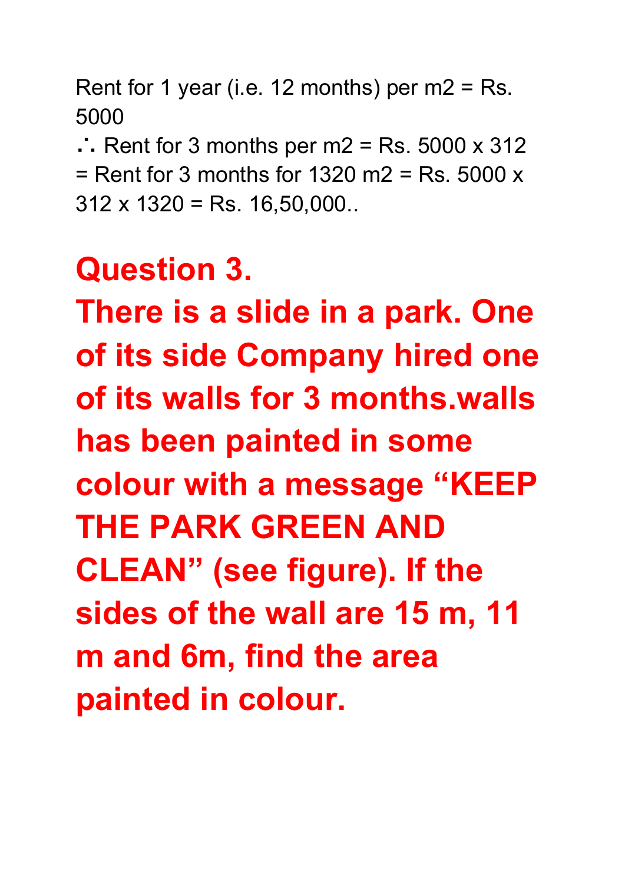Rent for 1 year (i.e. 12 months) per  $m2 = Rs$ . 5000

∴ Rent for 3 months per m2 = Rs.  $5000 \times 312$  $=$  Rent for 3 months for 1320 m2  $=$  Rs. 5000  $\times$  $312 \times 1320 =$  Rs. 16,50,000..

## **Question 3.**

**There is a slide in a park. One of its side Company hired one of its walls for 3 months.walls has been painted in some colour with a message "KEEP THE PARK GREEN AND CLEAN" (see figure). If the sides of the wall are 15 m, 11 m and 6m, find the area painted in colour.**